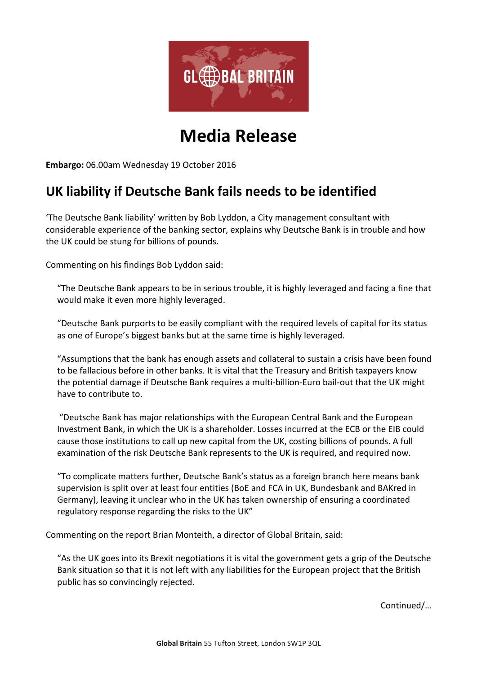

# **Media Release**

Embargo: 06.00am Wednesday 19 October 2016

## UK liability if Deutsche Bank fails needs to be identified

The Deutsche Bank liability' written by Bob Lyddon, a City management consultant with considerable experience of the banking sector, explains why Deutsche Bank is in trouble and how the UK could be stung for billions of pounds.

Commenting on his findings Bob Lyddon said:

"The Deutsche Bank appears to be in serious trouble, it is highly leveraged and facing a fine that would make it even more highly leveraged.

"Deutsche Bank purports to be easily compliant with the required levels of capital for its status as one of Europe's biggest banks but at the same time is highly leveraged.

"Assumptions that the bank has enough assets and collateral to sustain a crisis have been found to be fallacious before in other banks. It is vital that the Treasury and British taxpayers know the potential damage if Deutsche Bank requires a multi-billion-Euro bail-out that the UK might have to contribute to.

"Deutsche Bank has major relationships with the European Central Bank and the European Investment Bank, in which the UK is a shareholder. Losses incurred at the ECB or the EIB could cause those institutions to call up new capital from the UK, costing billions of pounds. A full examination of the risk Deutsche Bank represents to the UK is required, and required now.

"To complicate matters further, Deutsche Bank's status as a foreign branch here means bank supervision is split over at least four entities (BoE and FCA in UK, Bundesbank and BAKred in Germany), leaving it unclear who in the UK has taken ownership of ensuring a coordinated regulatory response regarding the risks to the UK"

Commenting on the report Brian Monteith, a director of Global Britain, said:

"As the UK goes into its Brexit negotiations it is vital the government gets a grip of the Deutsche Bank situation so that it is not left with any liabilities for the European project that the British public has so convincingly rejected.

Continued/…